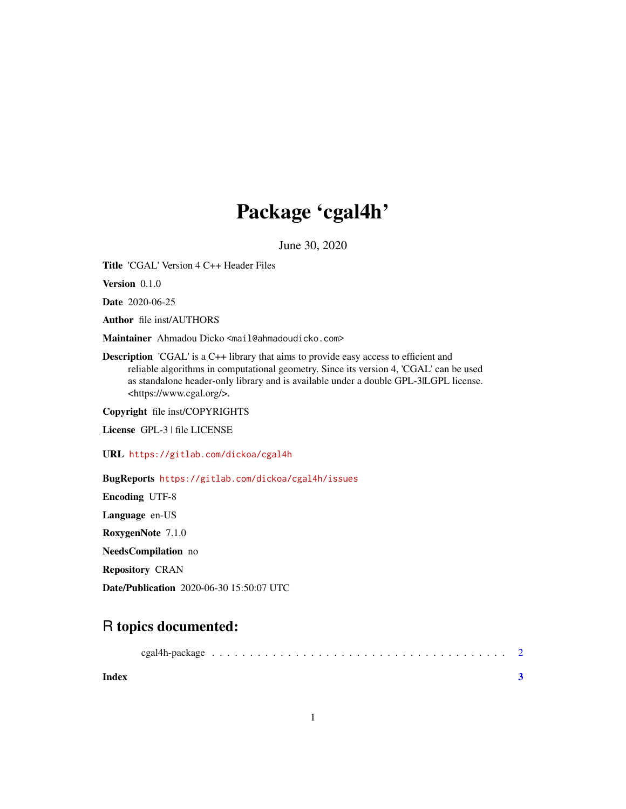## Package 'cgal4h'

June 30, 2020

Title 'CGAL' Version 4 C++ Header Files

Version 0.1.0

Date 2020-06-25

Author file inst/AUTHORS

Maintainer Ahmadou Dicko <mail@ahmadoudicko.com>

Description 'CGAL' is a C++ library that aims to provide easy access to efficient and reliable algorithms in computational geometry. Since its version 4, 'CGAL' can be used as standalone header-only library and is available under a double GPL-3|LGPL license. <https://www.cgal.org/>.

Copyright file inst/COPYRIGHTS

License GPL-3 | file LICENSE

URL <https://gitlab.com/dickoa/cgal4h>

BugReports <https://gitlab.com/dickoa/cgal4h/issues>

Encoding UTF-8 Language en-US RoxygenNote 7.1.0

NeedsCompilation no

Repository CRAN

Date/Publication 2020-06-30 15:50:07 UTC

### R topics documented:

|--|--|--|--|--|--|--|--|--|--|--|--|--|--|--|--|--|--|--|--|--|--|--|--|--|--|--|--|--|--|--|--|--|--|--|--|--|--|--|

**Index** [3](#page-2-0)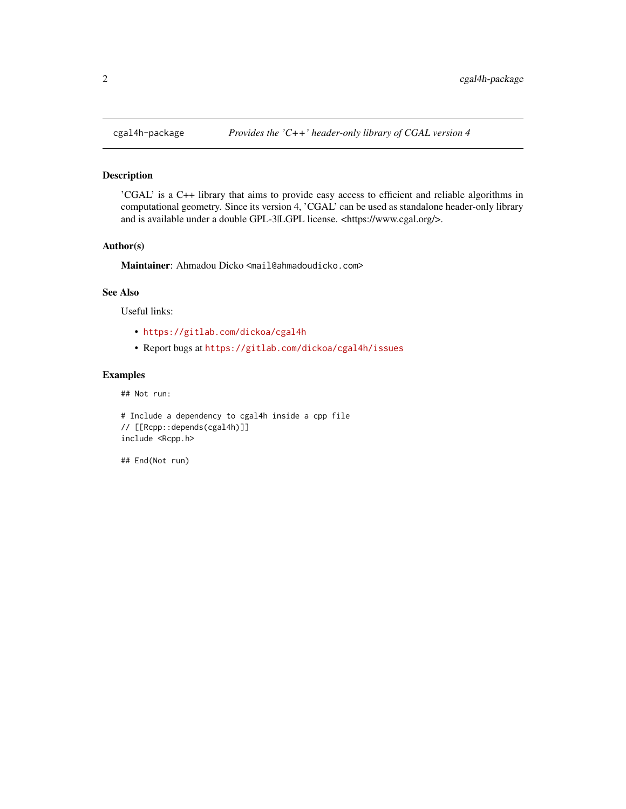#### Description

'CGAL' is a C++ library that aims to provide easy access to efficient and reliable algorithms in computational geometry. Since its version 4, 'CGAL' can be used as standalone header-only library and is available under a double GPL-3|LGPL license. <https://www.cgal.org/>.

#### Author(s)

Maintainer: Ahmadou Dicko <mail@ahmadoudicko.com>

#### See Also

Useful links:

- <https://gitlab.com/dickoa/cgal4h>
- Report bugs at <https://gitlab.com/dickoa/cgal4h/issues>

#### Examples

## Not run:

```
# Include a dependency to cgal4h inside a cpp file
// [[Rcpp::depends(cgal4h)]]
include <Rcpp.h>
```
## End(Not run)